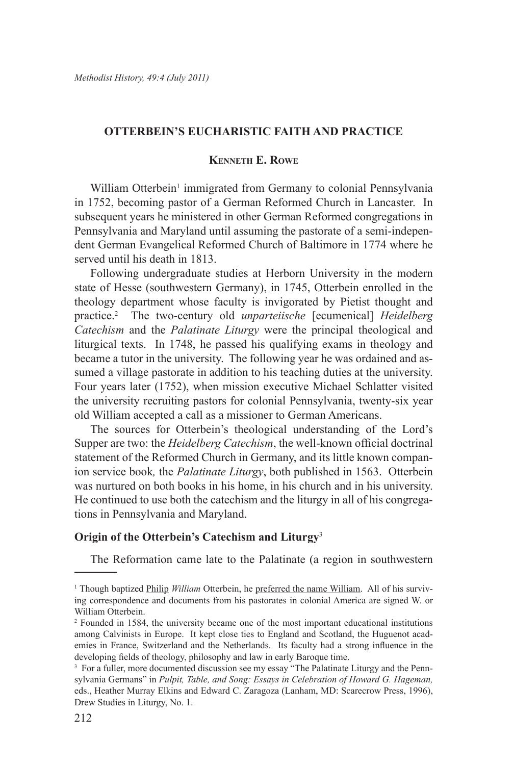# **OTTERBEIN'S EUCHARISTIC FAITH AND PRACTICE**

# **Kenneth E. Rowe**

William Otterbein<sup>1</sup> immigrated from Germany to colonial Pennsylvania in 1752, becoming pastor of a German Reformed Church in Lancaster. In subsequent years he ministered in other German Reformed congregations in Pennsylvania and Maryland until assuming the pastorate of a semi-independent German Evangelical Reformed Church of Baltimore in 1774 where he served until his death in 1813.

Following undergraduate studies at Herborn University in the modern state of Hesse (southwestern Germany), in 1745, Otterbein enrolled in the theology department whose faculty is invigorated by Pietist thought and practice.2 The two-century old *unparteiische* [ecumenical] *Heidelberg Catechism* and the *Palatinate Liturgy* were the principal theological and liturgical texts. In 1748, he passed his qualifying exams in theology and became a tutor in the university. The following year he was ordained and assumed a village pastorate in addition to his teaching duties at the university. Four years later (1752), when mission executive Michael Schlatter visited the university recruiting pastors for colonial Pennsylvania, twenty-six year old William accepted a call as a missioner to German Americans.

The sources for Otterbein's theological understanding of the Lord's Supper are two: the *Heidelberg Catechism*, the well-known official doctrinal statement of the Reformed Church in Germany, and its little known companion service book*,* the *Palatinate Liturgy*, both published in 1563. Otterbein was nurtured on both books in his home, in his church and in his university. He continued to use both the catechism and the liturgy in all of his congregations in Pennsylvania and Maryland.

#### **Origin of the Otterbein's Catechism and Liturgy**<sup>3</sup>

The Reformation came late to the Palatinate (a region in southwestern

<sup>&</sup>lt;sup>1</sup> Though baptized Philip *William* Otterbein, he preferred the name William. All of his surviving correspondence and documents from his pastorates in colonial America are signed W. or William Otterbein.

<sup>2</sup> Founded in 1584, the university became one of the most important educational institutions among Calvinists in Europe. It kept close ties to England and Scotland, the Huguenot academies in France, Switzerland and the Netherlands. Its faculty had a strong influence in the developing fields of theology, philosophy and law in early Baroque time.

<sup>&</sup>lt;sup>3</sup> For a fuller, more documented discussion see my essay "The Palatinate Liturgy and the Pennsylvania Germans" in *Pulpit, Table, and Song: Essays in Celebration of Howard G. Hageman,*  eds., Heather Murray Elkins and Edward C. Zaragoza (Lanham, MD: Scarecrow Press, 1996), Drew Studies in Liturgy, No. 1.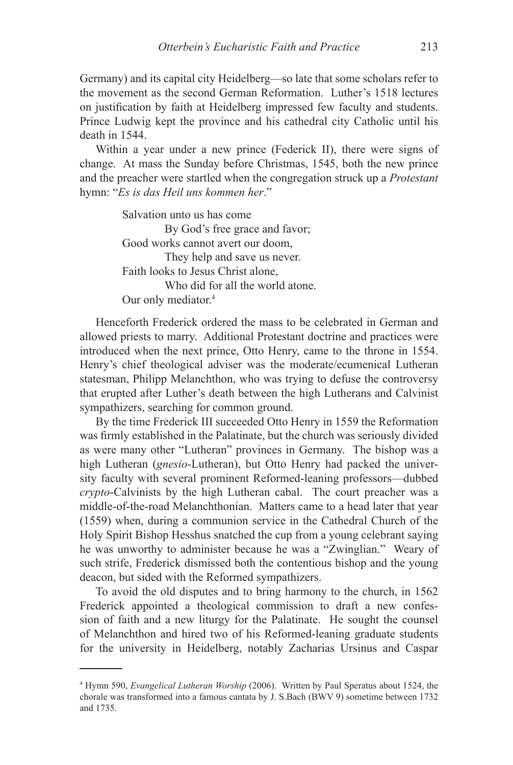Germany) and its capital city Heidelberg—so late that some scholars refer to the movement as the second German Reformation. Luther's 1518 lectures on justification by faith at Heidelberg impressed few faculty and students. Prince Ludwig kept the province and his cathedral city Catholic until his death in 1544.

Within a year under a new prince (Federick II), there were signs of change. At mass the Sunday before Christmas, 1545, both the new prince and the preacher were startled when the congregation struck up a *Protestant* hymn: "*Es is das Heil uns kommen her*."

> Salvation unto us has come By God's free grace and favor; Good works cannot avert our doom, They help and save us never. Faith looks to Jesus Christ alone, Who did for all the world atone. Our only mediator.<sup>4</sup>

Henceforth Frederick ordered the mass to be celebrated in German and allowed priests to marry. Additional Protestant doctrine and practices were introduced when the next prince, Otto Henry, came to the throne in 1554. Henry's chief theological adviser was the moderate/ecumenical Lutheran statesman, Philipp Melanchthon, who was trying to defuse the controversy that erupted after Luther's death between the high Lutherans and Calvinist sympathizers, searching for common ground.

By the time Frederick III succeeded Otto Henry in 1559 the Reformation was firmly established in the Palatinate, but the church was seriously divided as were many other "Lutheran" provinces in Germany. The bishop was a high Lutheran (*gnesio*-Lutheran), but Otto Henry had packed the university faculty with several prominent Reformed-leaning professors—dubbed *crypto*-Calvinists by the high Lutheran cabal. The court preacher was a middle-of-the-road Melanchthonian. Matters came to a head later that year (1559) when, during a communion service in the Cathedral Church of the Holy Spirit Bishop Hesshus snatched the cup from a young celebrant saying he was unworthy to administer because he was a "Zwinglian." Weary of such strife, Frederick dismissed both the contentious bishop and the young deacon, but sided with the Reformed sympathizers.

To avoid the old disputes and to bring harmony to the church, in 1562 Frederick appointed a theological commission to draft a new confession of faith and a new liturgy for the Palatinate. He sought the counsel of Melanchthon and hired two of his Reformed-leaning graduate students for the university in Heidelberg, notably Zacharias Ursinus and Caspar

<sup>4</sup> Hymn 590, *Evangelical Lutheran Worship* (2006). Written by Paul Speratus about 1524, the chorale was transformed into a famous cantata by J. S.Bach (BWV 9) sometime between 1732 and 1735.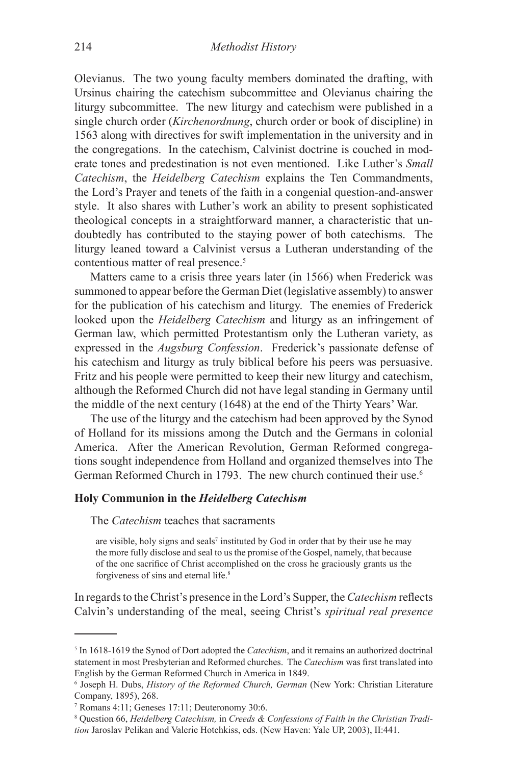Olevianus. The two young faculty members dominated the drafting, with Ursinus chairing the catechism subcommittee and Olevianus chairing the liturgy subcommittee. The new liturgy and catechism were published in a single church order (*Kirchenordnung*, church order or book of discipline) in 1563 along with directives for swift implementation in the university and in the congregations. In the catechism, Calvinist doctrine is couched in moderate tones and predestination is not even mentioned. Like Luther's *Small Catechism*, the *Heidelberg Catechism* explains the Ten Commandments, the Lord's Prayer and tenets of the faith in a congenial question-and-answer style. It also shares with Luther's work an ability to present sophisticated theological concepts in a straightforward manner, a characteristic that undoubtedly has contributed to the staying power of both catechisms. The liturgy leaned toward a Calvinist versus a Lutheran understanding of the contentious matter of real presence.<sup>5</sup>

Matters came to a crisis three years later (in 1566) when Frederick was summoned to appear before the German Diet (legislative assembly) to answer for the publication of his catechism and liturgy. The enemies of Frederick looked upon the *Heidelberg Catechism* and liturgy as an infringement of German law, which permitted Protestantism only the Lutheran variety, as expressed in the *Augsburg Confession*. Frederick's passionate defense of his catechism and liturgy as truly biblical before his peers was persuasive. Fritz and his people were permitted to keep their new liturgy and catechism, although the Reformed Church did not have legal standing in Germany until the middle of the next century (1648) at the end of the Thirty Years' War.

The use of the liturgy and the catechism had been approved by the Synod of Holland for its missions among the Dutch and the Germans in colonial America. After the American Revolution, German Reformed congregations sought independence from Holland and organized themselves into The German Reformed Church in 1793. The new church continued their use.6

# **Holy Communion in the** *Heidelberg Catechism*

The *Catechism* teaches that sacraments

are visible, holy signs and seals<sup>7</sup> instituted by God in order that by their use he may the more fully disclose and seal to us the promise of the Gospel, namely, that because of the one sacrifice of Christ accomplished on the cross he graciously grants us the forgiveness of sins and eternal life.<sup>8</sup>

In regards to the Christ's presence in the Lord's Supper, the *Catechism* reflects Calvin's understanding of the meal, seeing Christ's *spiritual real presence*

<sup>&</sup>lt;sup>5</sup> In 1618-1619 the Synod of Dort adopted the *Catechism*, and it remains an authorized doctrinal statement in most Presbyterian and Reformed churches. The *Catechism* was first translated into English by the German Reformed Church in America in 1849.

<sup>6</sup> Joseph H. Dubs, *History of the Reformed Church, German* (New York: Christian Literature Company, 1895), 268.

<sup>7</sup> Romans 4:11; Geneses 17:11; Deuteronomy 30:6.

<sup>8</sup> Question 66, *Heidelberg Catechism,* in *Creeds & Confessions of Faith in the Christian Tradition* Jaroslav Pelikan and Valerie Hotchkiss, eds. (New Haven: Yale UP, 2003), II:441.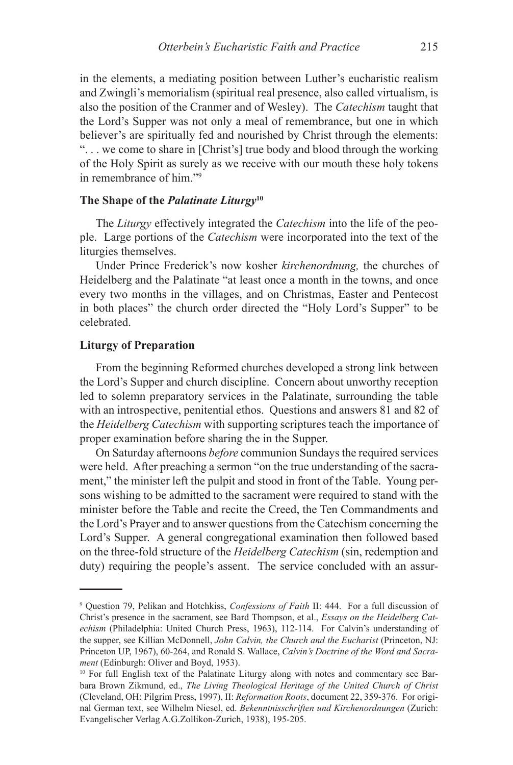in the elements, a mediating position between Luther's eucharistic realism and Zwingli's memorialism (spiritual real presence, also called virtualism, is also the position of the Cranmer and of Wesley). The *Catechism* taught that the Lord's Supper was not only a meal of remembrance, but one in which believer's are spiritually fed and nourished by Christ through the elements: ". . . we come to share in [Christ's] true body and blood through the working of the Holy Spirit as surely as we receive with our mouth these holy tokens in remembrance of him."9

#### **The Shape of the** *Palatinate Liturgy***<sup>10</sup>**

The *Liturgy* effectively integrated the *Catechism* into the life of the people. Large portions of the *Catechism* were incorporated into the text of the liturgies themselves.

Under Prince Frederick's now kosher *kirchenordnung,* the churches of Heidelberg and the Palatinate "at least once a month in the towns, and once every two months in the villages, and on Christmas, Easter and Pentecost in both places" the church order directed the "Holy Lord's Supper" to be celebrated.

# **Liturgy of Preparation**

From the beginning Reformed churches developed a strong link between the Lord's Supper and church discipline. Concern about unworthy reception led to solemn preparatory services in the Palatinate, surrounding the table with an introspective, penitential ethos. Questions and answers 81 and 82 of the *Heidelberg Catechism* with supporting scriptures teach the importance of proper examination before sharing the in the Supper.

On Saturday afternoons *before* communion Sundays the required services were held. After preaching a sermon "on the true understanding of the sacrament," the minister left the pulpit and stood in front of the Table. Young persons wishing to be admitted to the sacrament were required to stand with the minister before the Table and recite the Creed, the Ten Commandments and the Lord's Prayer and to answer questions from the Catechism concerning the Lord's Supper. A general congregational examination then followed based on the three-fold structure of the *Heidelberg Catechism* (sin, redemption and duty) requiring the people's assent. The service concluded with an assur-

<sup>9</sup> Question 79, Pelikan and Hotchkiss, *Confessions of Faith* II: 444. For a full discussion of Christ's presence in the sacrament, see Bard Thompson, et al., *Essays on the Heidelberg Catechism* (Philadelphia: United Church Press, 1963), 112-114. For Calvin's understanding of the supper, see Killian McDonnell, *John Calvin, the Church and the Eucharist* (Princeton, NJ: Princeton UP, 1967), 60-264, and Ronald S. Wallace, *Calvin's Doctrine of the Word and Sacrament* (Edinburgh: Oliver and Boyd, 1953).

<sup>&</sup>lt;sup>10</sup> For full English text of the Palatinate Liturgy along with notes and commentary see Barbara Brown Zikmund, ed., *The Living Theological Heritage of the United Church of Christ* (Cleveland, OH: Pilgrim Press, 1997), II: *Reformation Roots*, document 22, 359-376. For original German text, see Wilhelm Niesel, ed. *Bekenntnisschriften und Kirchenordnungen* (Zurich: Evangelischer Verlag A.G.Zollikon-Zurich, 1938), 195-205.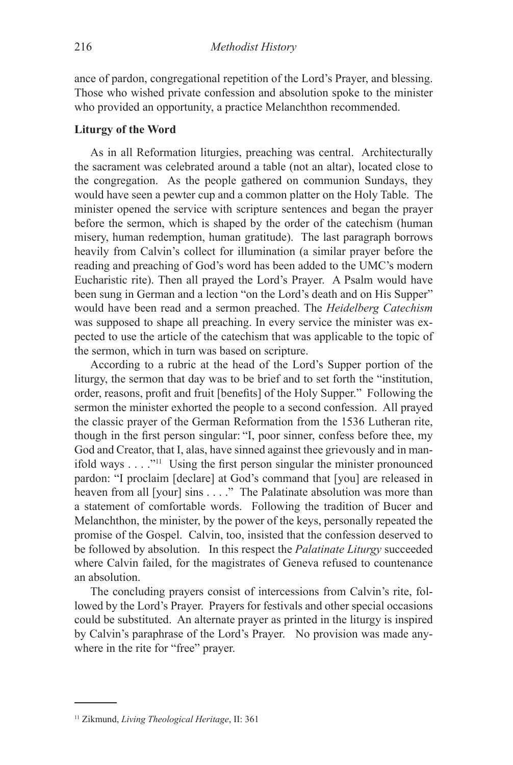ance of pardon, congregational repetition of the Lord's Prayer, and blessing. Those who wished private confession and absolution spoke to the minister who provided an opportunity, a practice Melanchthon recommended.

# **Liturgy of the Word**

As in all Reformation liturgies, preaching was central. Architecturally the sacrament was celebrated around a table (not an altar), located close to the congregation. As the people gathered on communion Sundays, they would have seen a pewter cup and a common platter on the Holy Table. The minister opened the service with scripture sentences and began the prayer before the sermon, which is shaped by the order of the catechism (human misery, human redemption, human gratitude). The last paragraph borrows heavily from Calvin's collect for illumination (a similar prayer before the reading and preaching of God's word has been added to the UMC's modern Eucharistic rite). Then all prayed the Lord's Prayer. A Psalm would have been sung in German and a lection "on the Lord's death and on His Supper" would have been read and a sermon preached. The *Heidelberg Catechism* was supposed to shape all preaching. In every service the minister was expected to use the article of the catechism that was applicable to the topic of the sermon, which in turn was based on scripture.

According to a rubric at the head of the Lord's Supper portion of the liturgy, the sermon that day was to be brief and to set forth the "institution, order, reasons, profit and fruit [benefits] of the Holy Supper." Following the sermon the minister exhorted the people to a second confession. All prayed the classic prayer of the German Reformation from the 1536 Lutheran rite, though in the first person singular: "I, poor sinner, confess before thee, my God and Creator, that I, alas, have sinned against thee grievously and in manifold ways  $\ldots$  <sup>"11</sup> Using the first person singular the minister pronounced pardon: "I proclaim [declare] at God's command that [you] are released in heaven from all [your] sins . . . ." The Palatinate absolution was more than a statement of comfortable words. Following the tradition of Bucer and Melanchthon, the minister, by the power of the keys, personally repeated the promise of the Gospel. Calvin, too, insisted that the confession deserved to be followed by absolution. In this respect the *Palatinate Liturgy* succeeded where Calvin failed, for the magistrates of Geneva refused to countenance an absolution.

The concluding prayers consist of intercessions from Calvin's rite, followed by the Lord's Prayer. Prayers for festivals and other special occasions could be substituted. An alternate prayer as printed in the liturgy is inspired by Calvin's paraphrase of the Lord's Prayer. No provision was made anywhere in the rite for "free" prayer.

<sup>11</sup> Zikmund, *Living Theological Heritage*, II: 361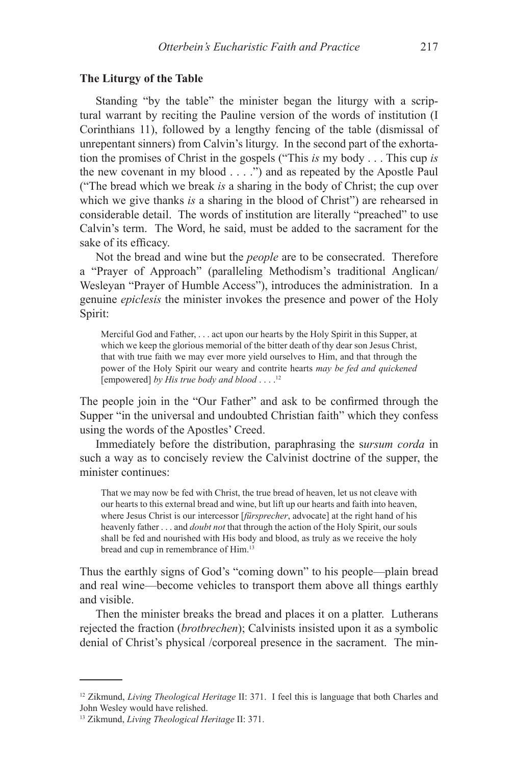#### **The Liturgy of the Table**

Standing "by the table" the minister began the liturgy with a scriptural warrant by reciting the Pauline version of the words of institution (I Corinthians 11), followed by a lengthy fencing of the table (dismissal of unrepentant sinners) from Calvin's liturgy. In the second part of the exhortation the promises of Christ in the gospels ("This *is* my body . . . This cup *is* the new covenant in my blood . . . .") and as repeated by the Apostle Paul ("The bread which we break *is* a sharing in the body of Christ; the cup over which we give thanks *is* a sharing in the blood of Christ") are rehearsed in considerable detail. The words of institution are literally "preached" to use Calvin's term. The Word, he said, must be added to the sacrament for the sake of its efficacy.

Not the bread and wine but the *people* are to be consecrated. Therefore a "Prayer of Approach" (paralleling Methodism's traditional Anglican/ Wesleyan "Prayer of Humble Access"), introduces the administration. In a genuine *epiclesis* the minister invokes the presence and power of the Holy Spirit:

Merciful God and Father, . . . act upon our hearts by the Holy Spirit in this Supper, at which we keep the glorious memorial of the bitter death of thy dear son Jesus Christ, that with true faith we may ever more yield ourselves to Him, and that through the power of the Holy Spirit our weary and contrite hearts *may be fed and quickened*  [empowered] *by His true body and blood* . . . .12

The people join in the "Our Father" and ask to be confirmed through the Supper "in the universal and undoubted Christian faith" which they confess using the words of the Apostles' Creed.

Immediately before the distribution, paraphrasing the s*ursum corda* in such a way as to concisely review the Calvinist doctrine of the supper, the minister continues:

That we may now be fed with Christ, the true bread of heaven, let us not cleave with our hearts to this external bread and wine, but lift up our hearts and faith into heaven, where Jesus Christ is our intercessor [*fürsprecher*, advocate] at the right hand of his heavenly father . . . and *doubt not* that through the action of the Holy Spirit, our souls shall be fed and nourished with His body and blood, as truly as we receive the holy bread and cup in remembrance of Him.13

Thus the earthly signs of God's "coming down" to his people—plain bread and real wine—become vehicles to transport them above all things earthly and visible.

Then the minister breaks the bread and places it on a platter. Lutherans rejected the fraction (*brotbrechen*); Calvinists insisted upon it as a symbolic denial of Christ's physical /corporeal presence in the sacrament. The min-

<sup>12</sup> Zikmund, *Living Theological Heritage* II: 371. I feel this is language that both Charles and John Wesley would have relished.

<sup>13</sup> Zikmund, *Living Theological Heritage* II: 371.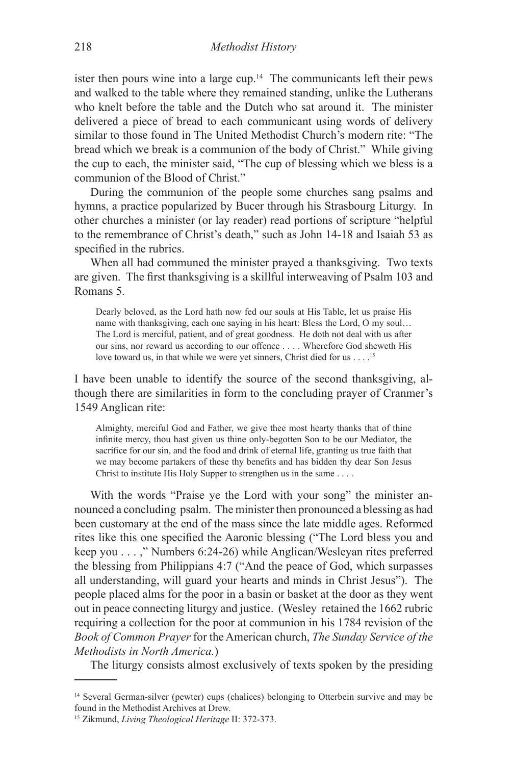ister then pours wine into a large cup.14 The communicants left their pews and walked to the table where they remained standing, unlike the Lutherans who knelt before the table and the Dutch who sat around it. The minister delivered a piece of bread to each communicant using words of delivery similar to those found in The United Methodist Church's modern rite: "The bread which we break is a communion of the body of Christ." While giving the cup to each, the minister said, "The cup of blessing which we bless is a communion of the Blood of Christ."

During the communion of the people some churches sang psalms and hymns, a practice popularized by Bucer through his Strasbourg Liturgy. In other churches a minister (or lay reader) read portions of scripture "helpful to the remembrance of Christ's death," such as John 14-18 and Isaiah 53 as specified in the rubrics.

When all had communed the minister prayed a thanksgiving. Two texts are given. The first thanksgiving is a skillful interweaving of Psalm 103 and Romans 5.

Dearly beloved, as the Lord hath now fed our souls at His Table, let us praise His name with thanksgiving, each one saying in his heart: Bless the Lord, O my soul… The Lord is merciful, patient, and of great goodness. He doth not deal with us after our sins, nor reward us according to our offence . . . . Wherefore God sheweth His love toward us, in that while we were yet sinners, Christ died for us . . .<sup>15</sup>

I have been unable to identify the source of the second thanksgiving, although there are similarities in form to the concluding prayer of Cranmer's 1549 Anglican rite:

Almighty, merciful God and Father, we give thee most hearty thanks that of thine infinite mercy, thou hast given us thine only-begotten Son to be our Mediator, the sacrifice for our sin, and the food and drink of eternal life, granting us true faith that we may become partakers of these thy benefits and has bidden thy dear Son Jesus Christ to institute His Holy Supper to strengthen us in the same . . . .

With the words "Praise ye the Lord with your song" the minister announced a concluding psalm. The minister then pronounced a blessing as had been customary at the end of the mass since the late middle ages. Reformed rites like this one specified the Aaronic blessing ("The Lord bless you and keep you . . . ," Numbers 6:24-26) while Anglican/Wesleyan rites preferred the blessing from Philippians 4:7 ("And the peace of God, which surpasses all understanding, will guard your hearts and minds in Christ Jesus"). The people placed alms for the poor in a basin or basket at the door as they went out in peace connecting liturgy and justice. (Wesley retained the 1662 rubric requiring a collection for the poor at communion in his 1784 revision of the *Book of Common Prayer* for the American church, *The Sunday Service of the Methodists in North America.*)

The liturgy consists almost exclusively of texts spoken by the presiding

<sup>&</sup>lt;sup>14</sup> Several German-silver (pewter) cups (chalices) belonging to Otterbein survive and may be found in the Methodist Archives at Drew.

<sup>15</sup> Zikmund, *Living Theological Heritage* II: 372-373.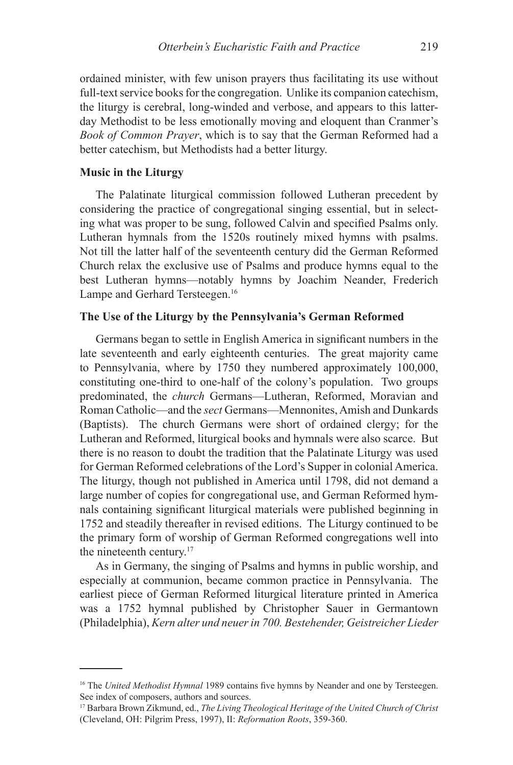ordained minister, with few unison prayers thus facilitating its use without full-text service books for the congregation. Unlike its companion catechism, the liturgy is cerebral, long-winded and verbose, and appears to this latterday Methodist to be less emotionally moving and eloquent than Cranmer's *Book of Common Prayer*, which is to say that the German Reformed had a better catechism, but Methodists had a better liturgy.

#### **Music in the Liturgy**

The Palatinate liturgical commission followed Lutheran precedent by considering the practice of congregational singing essential, but in selecting what was proper to be sung, followed Calvin and specified Psalms only. Lutheran hymnals from the 1520s routinely mixed hymns with psalms. Not till the latter half of the seventeenth century did the German Reformed Church relax the exclusive use of Psalms and produce hymns equal to the best Lutheran hymns—notably hymns by Joachim Neander, Frederich Lampe and Gerhard Tersteegen.<sup>16</sup>

# **The Use of the Liturgy by the Pennsylvania's German Reformed**

Germans began to settle in English America in significant numbers in the late seventeenth and early eighteenth centuries. The great majority came to Pennsylvania, where by 1750 they numbered approximately 100,000, constituting one-third to one-half of the colony's population. Two groups predominated, the *church* Germans—Lutheran, Reformed, Moravian and Roman Catholic—and the *sect* Germans—Mennonites, Amish and Dunkards (Baptists). The church Germans were short of ordained clergy; for the Lutheran and Reformed, liturgical books and hymnals were also scarce. But there is no reason to doubt the tradition that the Palatinate Liturgy was used for German Reformed celebrations of the Lord's Supper in colonial America. The liturgy, though not published in America until 1798, did not demand a large number of copies for congregational use, and German Reformed hymnals containing significant liturgical materials were published beginning in 1752 and steadily thereafter in revised editions. The Liturgy continued to be the primary form of worship of German Reformed congregations well into the nineteenth century.<sup>17</sup>

As in Germany, the singing of Psalms and hymns in public worship, and especially at communion, became common practice in Pennsylvania. The earliest piece of German Reformed liturgical literature printed in America was a 1752 hymnal published by Christopher Sauer in Germantown (Philadelphia), *Kern alter und neuer in 700. Bestehender, Geistreicher Lieder*

<sup>&</sup>lt;sup>16</sup> The *United Methodist Hymnal* 1989 contains five hymns by Neander and one by Tersteegen. See index of composers, authors and sources.

<sup>17</sup> Barbara Brown Zikmund, ed., *The Living Theological Heritage of the United Church of Christ* (Cleveland, OH: Pilgrim Press, 1997), II: *Reformation Roots*, 359-360.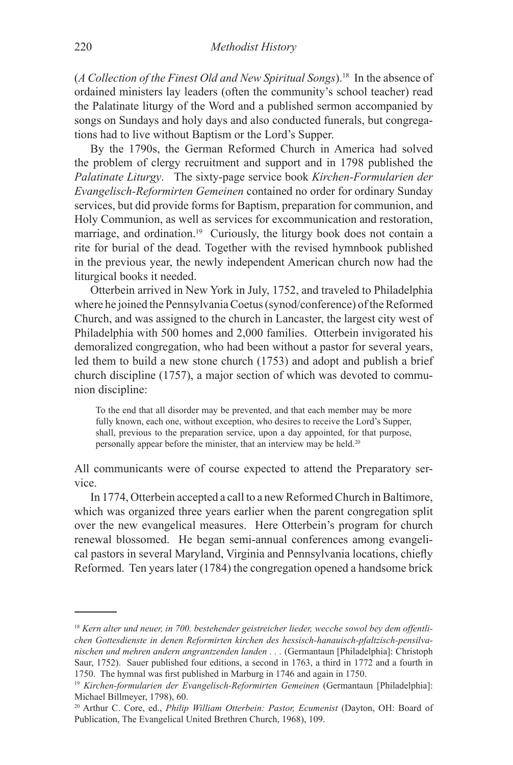(*A Collection of the Finest Old and New Spiritual Songs*).18 In the absence of ordained ministers lay leaders (often the community's school teacher) read the Palatinate liturgy of the Word and a published sermon accompanied by songs on Sundays and holy days and also conducted funerals, but congregations had to live without Baptism or the Lord's Supper.

By the 1790s, the German Reformed Church in America had solved the problem of clergy recruitment and support and in 1798 published the *Palatinate Liturgy*. The sixty-page service book *Kirchen-Formularien der Evangelisch-Reformirten Gemeinen* contained no order for ordinary Sunday services, but did provide forms for Baptism, preparation for communion, and Holy Communion, as well as services for excommunication and restoration, marriage, and ordination.<sup>19</sup> Curiously, the liturgy book does not contain a rite for burial of the dead. Together with the revised hymnbook published in the previous year, the newly independent American church now had the liturgical books it needed.

Otterbein arrived in New York in July, 1752, and traveled to Philadelphia where he joined the Pennsylvania Coetus (synod/conference) of the Reformed Church, and was assigned to the church in Lancaster, the largest city west of Philadelphia with 500 homes and 2,000 families. Otterbein invigorated his demoralized congregation, who had been without a pastor for several years, led them to build a new stone church (1753) and adopt and publish a brief church discipline (1757), a major section of which was devoted to communion discipline:

To the end that all disorder may be prevented, and that each member may be more fully known, each one, without exception, who desires to receive the Lord's Supper, shall, previous to the preparation service, upon a day appointed, for that purpose, personally appear before the minister, that an interview may be held.20

All communicants were of course expected to attend the Preparatory service.

In 1774, Otterbein accepted a call to a new Reformed Church in Baltimore, which was organized three years earlier when the parent congregation split over the new evangelical measures. Here Otterbein's program for church renewal blossomed. He began semi-annual conferences among evangelical pastors in several Maryland, Virginia and Pennsylvania locations, chiefly Reformed. Ten years later (1784) the congregation opened a handsome brick

<sup>18</sup> *Kern alter und neuer, in 700. bestehender geistreicher lieder, wecche sowol bey dem offentlichen Gottesdienste in denen Reformirten kirchen des hessisch-hanauisch-pfaltzisch-pensilvanischen und mehren andern angrantzenden landen . . .* (Germantaun [Philadelphia]: Christoph Saur, 1752). Sauer published four editions, a second in 1763, a third in 1772 and a fourth in 1750. The hymnal was first published in Marburg in 1746 and again in 1750.

<sup>19</sup> *Kirchen-formularien der Evangelisch-Reformirten Gemeinen* (Germantaun [Philadelphia]: Michael Billmeyer, 1798), 60.

<sup>20</sup> Arthur C. Core, ed., *Philip William Otterbein: Pastor, Ecumenist* (Dayton, OH: Board of Publication, The Evangelical United Brethren Church, 1968), 109.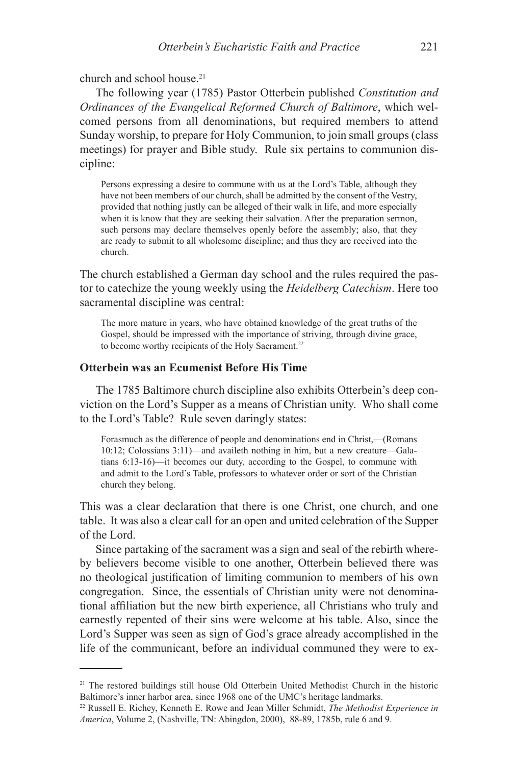church and school house.21

The following year (1785) Pastor Otterbein published *Constitution and Ordinances of the Evangelical Reformed Church of Baltimore*, which welcomed persons from all denominations, but required members to attend Sunday worship, to prepare for Holy Communion, to join small groups (class meetings) for prayer and Bible study. Rule six pertains to communion discipline:

Persons expressing a desire to commune with us at the Lord's Table, although they have not been members of our church, shall be admitted by the consent of the Vestry, provided that nothing justly can be alleged of their walk in life, and more especially when it is know that they are seeking their salvation. After the preparation sermon, such persons may declare themselves openly before the assembly; also, that they are ready to submit to all wholesome discipline; and thus they are received into the church.

The church established a German day school and the rules required the pastor to catechize the young weekly using the *Heidelberg Catechism*. Here too sacramental discipline was central:

The more mature in years, who have obtained knowledge of the great truths of the Gospel, should be impressed with the importance of striving, through divine grace, to become worthy recipients of the Holy Sacrament.<sup>22</sup>

# **Otterbein was an Ecumenist Before His Time**

The 1785 Baltimore church discipline also exhibits Otterbein's deep conviction on the Lord's Supper as a means of Christian unity. Who shall come to the Lord's Table? Rule seven daringly states:

Forasmuch as the difference of people and denominations end in Christ,—(Romans 10:12; Colossians 3:11)—and availeth nothing in him, but a new creature—Galatians 6:13-16)—it becomes our duty, according to the Gospel, to commune with and admit to the Lord's Table, professors to whatever order or sort of the Christian church they belong.

This was a clear declaration that there is one Christ, one church, and one table. It was also a clear call for an open and united celebration of the Supper of the Lord.

Since partaking of the sacrament was a sign and seal of the rebirth whereby believers become visible to one another, Otterbein believed there was no theological justification of limiting communion to members of his own congregation. Since, the essentials of Christian unity were not denominational affiliation but the new birth experience, all Christians who truly and earnestly repented of their sins were welcome at his table. Also, since the Lord's Supper was seen as sign of God's grace already accomplished in the life of the communicant, before an individual communed they were to ex-

<sup>&</sup>lt;sup>21</sup> The restored buildings still house Old Otterbein United Methodist Church in the historic Baltimore's inner harbor area, since 1968 one of the UMC's heritage landmarks.

<sup>22</sup> Russell E. Richey, Kenneth E. Rowe and Jean Miller Schmidt, *The Methodist Experience in America*, Volume 2, (Nashville, TN: Abingdon, 2000), 88-89, 1785b, rule 6 and 9.